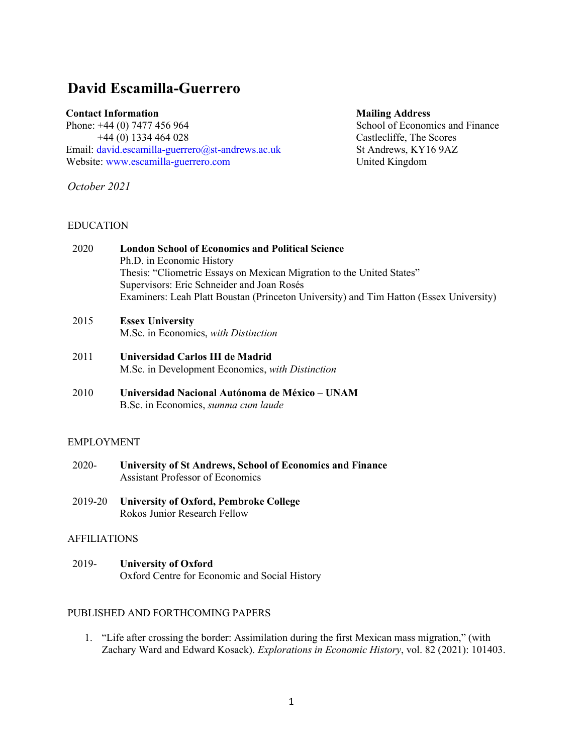# **David Escamilla-Guerrero**

#### **Contact Information**

Phone: +44 (0) 7477 456 964 +44 (0) 1334 464 028 Email: [david.escamilla-guerrero@st-andrews.ac.uk](mailto:david.escamilla-guerrero@st-andrews.ac.uk) Website: [www.escamilla-guerrero.com](http://www.escamilla-guerrero.com/)

*October 2021*

## EDUCATION

#### **Mailing Address**

School of Economics and Finance Castlecliffe, The Scores St Andrews, KY16 9AZ United Kingdom

2020 **London School of Economics and Political Science** Ph.D. in Economic History Thesis: "Cliometric Essays on Mexican Migration to the United States" Supervisors: Eric Schneider and Joan Rosés Examiners: Leah Platt Boustan (Princeton University) and Tim Hatton (Essex University)

# 2015 **Essex University** M.Sc. in Economics, *with Distinction*

- 2011 **Universidad Carlos III de Madrid** M.Sc. in Development Economics, *with Distinction*
- 2010 **Universidad Nacional Autónoma de México – UNAM** B.Sc. in Economics, *summa cum laude*

## EMPLOYMENT

- 2020- **University of St Andrews, School of Economics and Finance** Assistant Professor of Economics
- 2019-20 **University of Oxford, Pembroke College** Rokos Junior Research Fellow

## AFFILIATIONS

2019- **University of Oxford** Oxford Centre for Economic and Social History

# PUBLISHED AND FORTHCOMING PAPERS

1. "Life after crossing the border: Assimilation during the first Mexican mass migration," (with Zachary Ward and Edward Kosack). *Explorations in Economic History*, vol. 82 (2021): 101403.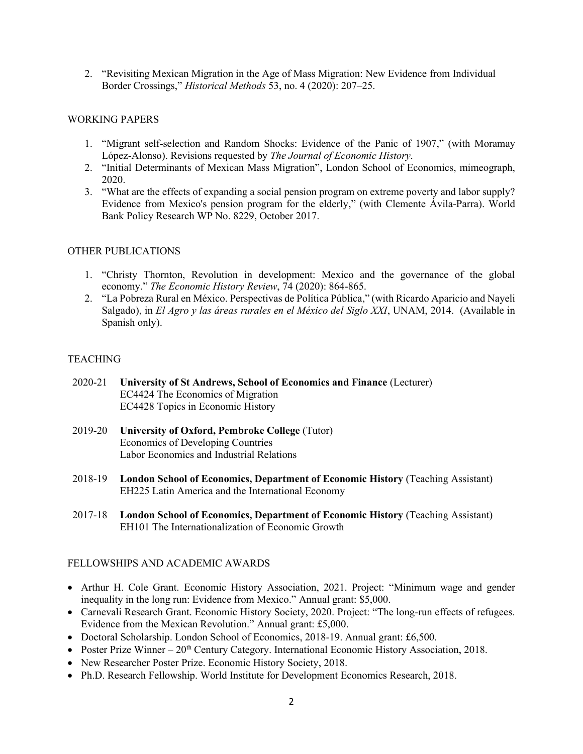2. "Revisiting Mexican Migration in the Age of Mass Migration: New Evidence from Individual Border Crossings," *Historical Methods* 53, no. 4 (2020): 207–25.

#### WORKING PAPERS

- 1. "Migrant self-selection and Random Shocks: Evidence of the Panic of 1907," (with Moramay López-Alonso). Revisions requested by *The Journal of Economic History*.
- 2. "Initial Determinants of Mexican Mass Migration", London School of Economics, mimeograph, 2020.
- 3. "What are the effects of expanding a social pension program on extreme poverty and labor supply? Evidence from Mexico's pension program for the elderly," (with Clemente Ávila-Parra). World Bank Policy Research WP No. 8229, October 2017.

#### OTHER PUBLICATIONS

- 1. "Christy Thornton, Revolution in development: Mexico and the governance of the global economy." *The Economic History Review*, 74 (2020): 864-865.
- 2. "La Pobreza Rural en México. Perspectivas de Política Pública," (with Ricardo Aparicio and Nayeli Salgado), in *El Agro y las áreas rurales en el México del Siglo XXI*, UNAM, 2014. (Available in Spanish only).

## **TEACHING**

- 2020-21 **University of St Andrews, School of Economics and Finance** (Lecturer) EC4424 The Economics of Migration EC4428 Topics in Economic History
- 2019-20 **University of Oxford, Pembroke College** (Tutor) Economics of Developing Countries Labor Economics and Industrial Relations
- 2018-19 **London School of Economics, Department of Economic History** (Teaching Assistant) EH225 Latin America and the International Economy
- 2017-18 **London School of Economics, Department of Economic History** (Teaching Assistant) EH101 The Internationalization of Economic Growth

## FELLOWSHIPS AND ACADEMIC AWARDS

- Arthur H. Cole Grant. Economic History Association, 2021. Project: "Minimum wage and gender inequality in the long run: Evidence from Mexico." Annual grant: \$5,000.
- Carnevali Research Grant. Economic History Society, 2020. Project: "The long-run effects of refugees. Evidence from the Mexican Revolution." Annual grant: £5,000.
- Doctoral Scholarship. London School of Economics, 2018-19. Annual grant: £6,500.
- Poster Prize Winner  $20<sup>th</sup>$  Century Category. International Economic History Association, 2018.
- New Researcher Poster Prize. Economic History Society, 2018.
- Ph.D. Research Fellowship. World Institute for Development Economics Research, 2018.